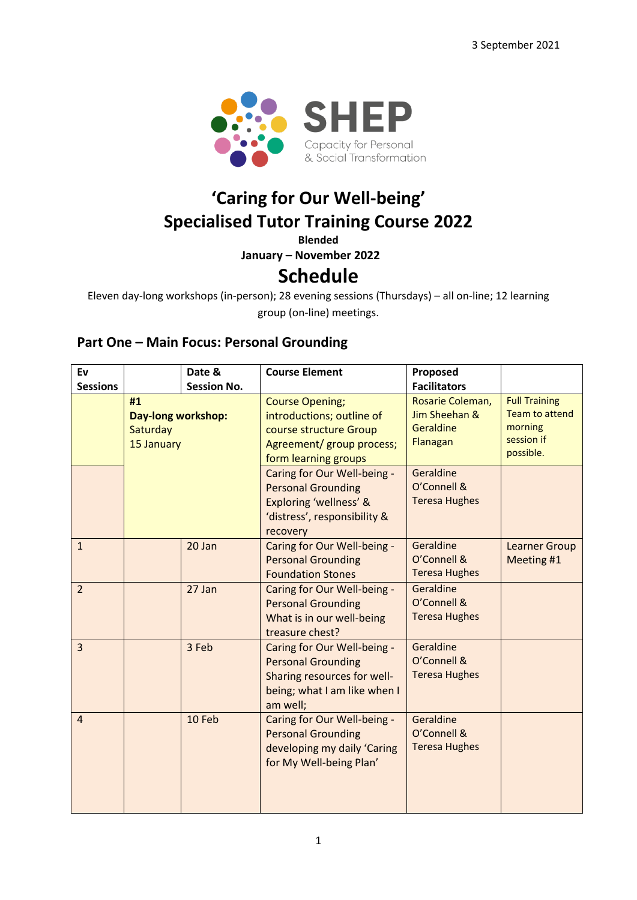

# **'Caring for Our Well-being' Specialised Tutor Training Course 2022**

**Blended**

**January – November 2022**

# **Schedule**

Eleven day-long workshops (in-person); 28 evening sessions (Thursdays) – all on-line; 12 learning group (on-line) meetings.

#### **Part One – Main Focus: Personal Grounding**

| Ev<br><b>Sessions</b> |                                                    | Date &<br><b>Session No.</b> | <b>Course Element</b>                                                                                                               | Proposed<br><b>Facilitators</b>                            |                                                                                     |
|-----------------------|----------------------------------------------------|------------------------------|-------------------------------------------------------------------------------------------------------------------------------------|------------------------------------------------------------|-------------------------------------------------------------------------------------|
|                       | #1<br>Day-long workshop:<br>Saturday<br>15 January |                              | <b>Course Opening;</b><br>introductions; outline of<br>course structure Group<br>Agreement/ group process;<br>form learning groups  | Rosarie Coleman,<br>Jim Sheehan &<br>Geraldine<br>Flanagan | <b>Full Training</b><br><b>Team to attend</b><br>morning<br>session if<br>possible. |
|                       |                                                    |                              | Caring for Our Well-being -<br><b>Personal Grounding</b><br>Exploring 'wellness' &<br>'distress', responsibility &<br>recovery      | Geraldine<br>O'Connell &<br><b>Teresa Hughes</b>           |                                                                                     |
| $\mathbf{1}$          |                                                    | 20 Jan                       | Caring for Our Well-being -<br><b>Personal Grounding</b><br><b>Foundation Stones</b>                                                | Geraldine<br>O'Connell &<br><b>Teresa Hughes</b>           | <b>Learner Group</b><br>Meeting #1                                                  |
| $\overline{2}$        |                                                    | 27 Jan                       | Caring for Our Well-being -<br><b>Personal Grounding</b><br>What is in our well-being<br>treasure chest?                            | Geraldine<br>O'Connell &<br><b>Teresa Hughes</b>           |                                                                                     |
| $\overline{3}$        |                                                    | 3 Feb                        | Caring for Our Well-being -<br><b>Personal Grounding</b><br>Sharing resources for well-<br>being; what I am like when I<br>am well; | Geraldine<br>O'Connell &<br><b>Teresa Hughes</b>           |                                                                                     |
| $\overline{4}$        |                                                    | 10 Feb                       | Caring for Our Well-being -<br><b>Personal Grounding</b><br>developing my daily 'Caring<br>for My Well-being Plan'                  | Geraldine<br>O'Connell &<br><b>Teresa Hughes</b>           |                                                                                     |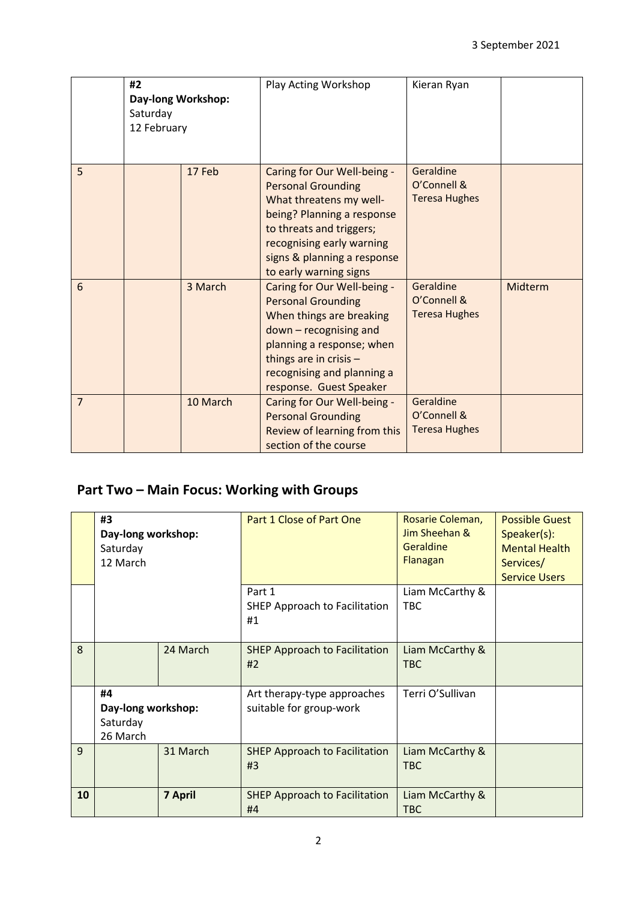|                | #2<br>Day-long Workshop:<br>Saturday<br>12 February |          | Play Acting Workshop                                                                                                                                                                                                                | Kieran Ryan                                      |         |
|----------------|-----------------------------------------------------|----------|-------------------------------------------------------------------------------------------------------------------------------------------------------------------------------------------------------------------------------------|--------------------------------------------------|---------|
| 5              |                                                     | 17 Feb   | Caring for Our Well-being -<br><b>Personal Grounding</b><br>What threatens my well-<br>being? Planning a response<br>to threats and triggers;<br>recognising early warning<br>signs & planning a response<br>to early warning signs | Geraldine<br>O'Connell &<br><b>Teresa Hughes</b> |         |
| 6              |                                                     | 3 March  | Caring for Our Well-being -<br><b>Personal Grounding</b><br>When things are breaking<br>down - recognising and<br>planning a response; when<br>things are in crisis -<br>recognising and planning a<br>response. Guest Speaker      | Geraldine<br>O'Connell &<br><b>Teresa Hughes</b> | Midterm |
| $\overline{7}$ |                                                     | 10 March | Caring for Our Well-being -<br><b>Personal Grounding</b><br>Review of learning from this<br>section of the course                                                                                                                   | Geraldine<br>O'Connell &<br><b>Teresa Hughes</b> |         |

### **Part Two – Main Focus: Working with Groups**

|              | #3<br>Day-long workshop:<br>Saturday<br>12 March |                | Part 1 Close of Part One                               | Rosarie Coleman,<br>Jim Sheehan &<br>Geraldine<br>Flanagan | <b>Possible Guest</b><br>Speaker(s):<br><b>Mental Health</b><br>Services/<br><b>Service Users</b> |
|--------------|--------------------------------------------------|----------------|--------------------------------------------------------|------------------------------------------------------------|---------------------------------------------------------------------------------------------------|
|              |                                                  |                | Part 1<br><b>SHEP Approach to Facilitation</b><br>#1   | Liam McCarthy &<br><b>TBC</b>                              |                                                                                                   |
| 8            |                                                  | 24 March       | <b>SHEP Approach to Facilitation</b><br>#2             | Liam McCarthy &<br><b>TBC</b>                              |                                                                                                   |
|              | #4<br>Day-long workshop:<br>Saturday<br>26 March |                | Art therapy-type approaches<br>suitable for group-work | Terri O'Sullivan                                           |                                                                                                   |
| $\mathbf{q}$ |                                                  | 31 March       | <b>SHEP Approach to Facilitation</b><br>#3             | Liam McCarthy &<br><b>TBC</b>                              |                                                                                                   |
| 10           |                                                  | <b>7 April</b> | <b>SHEP Approach to Facilitation</b><br>#4             | Liam McCarthy &<br><b>TBC</b>                              |                                                                                                   |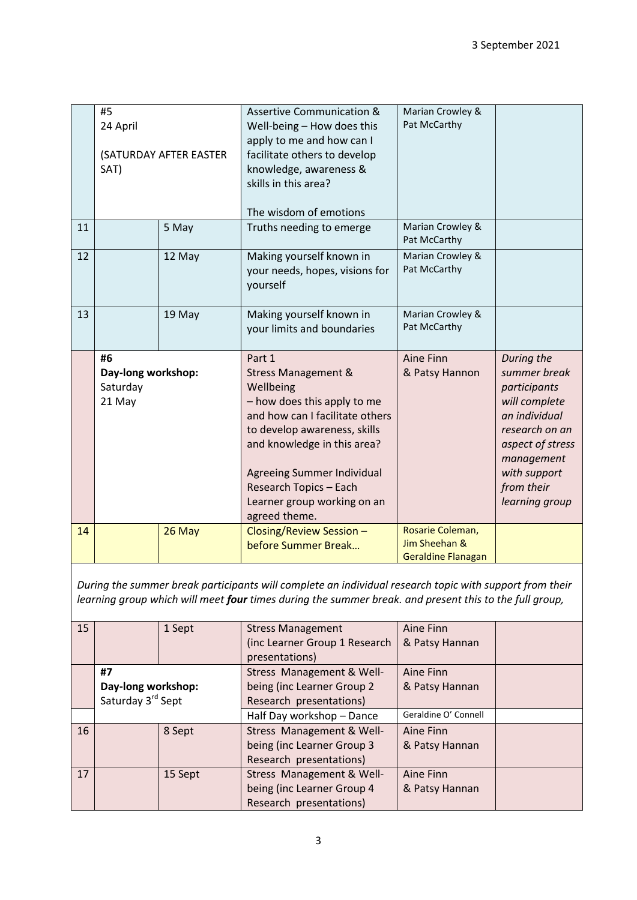|    | #5<br>24 April<br>(SATURDAY AFTER EASTER<br>SAT) |        | <b>Assertive Communication &amp;</b><br>Well-being - How does this<br>apply to me and how can I<br>facilitate others to develop<br>knowledge, awareness &<br>skills in this area?<br>The wisdom of emotions                                                                                    | Marian Crowley &<br>Pat McCarthy                               |                                                                                                                                                                                  |
|----|--------------------------------------------------|--------|------------------------------------------------------------------------------------------------------------------------------------------------------------------------------------------------------------------------------------------------------------------------------------------------|----------------------------------------------------------------|----------------------------------------------------------------------------------------------------------------------------------------------------------------------------------|
| 11 |                                                  | 5 May  | Truths needing to emerge                                                                                                                                                                                                                                                                       | Marian Crowley &<br>Pat McCarthy                               |                                                                                                                                                                                  |
| 12 |                                                  | 12 May | Making yourself known in<br>your needs, hopes, visions for<br>yourself                                                                                                                                                                                                                         | Marian Crowley &<br>Pat McCarthy                               |                                                                                                                                                                                  |
| 13 |                                                  | 19 May | Making yourself known in<br>your limits and boundaries                                                                                                                                                                                                                                         | Marian Crowley &<br>Pat McCarthy                               |                                                                                                                                                                                  |
|    | #6<br>Day-long workshop:<br>Saturday<br>21 May   |        | Part 1<br><b>Stress Management &amp;</b><br>Wellbeing<br>- how does this apply to me<br>and how can I facilitate others<br>to develop awareness, skills<br>and knowledge in this area?<br>Agreeing Summer Individual<br>Research Topics - Each<br>Learner group working on an<br>agreed theme. | Aine Finn<br>& Patsy Hannon                                    | During the<br>summer break<br>participants<br>will complete<br>an individual<br>research on an<br>aspect of stress<br>management<br>with support<br>from their<br>learning group |
| 14 |                                                  | 26 May | Closing/Review Session -<br>before Summer Break                                                                                                                                                                                                                                                | Rosarie Coleman,<br>Jim Sheehan &<br><b>Geraldine Flanagan</b> |                                                                                                                                                                                  |

*During the summer break participants will complete an individual research topic with support from their learning group which will meet four times during the summer break. and present this to the full group,*

| 15 |                    | 1 Sept  | <b>Stress Management</b>      | Aine Finn            |  |
|----|--------------------|---------|-------------------------------|----------------------|--|
|    |                    |         | (inc Learner Group 1 Research | & Patsy Hannan       |  |
|    |                    |         | presentations)                |                      |  |
|    | #7                 |         | Stress Management & Well-     | Aine Finn            |  |
|    | Day-long workshop: |         | being (inc Learner Group 2    | & Patsy Hannan       |  |
|    | Saturday 3rd Sept  |         | Research presentations)       |                      |  |
|    |                    |         | Half Day workshop - Dance     | Geraldine O' Connell |  |
| 16 |                    | 8 Sept  | Stress Management & Well-     | Aine Finn            |  |
|    |                    |         | being (inc Learner Group 3    | & Patsy Hannan       |  |
|    |                    |         | Research presentations)       |                      |  |
| 17 |                    | 15 Sept | Stress Management & Well-     | Aine Finn            |  |
|    |                    |         | being (inc Learner Group 4    | & Patsy Hannan       |  |
|    |                    |         | Research presentations)       |                      |  |